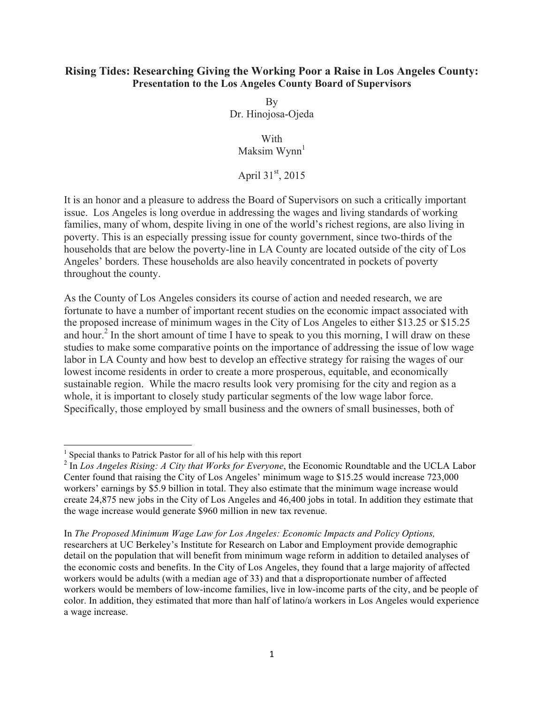## **Rising Tides: Researching Giving the Working Poor a Raise in Los Angeles County: Presentation to the Los Angeles County Board of Supervisors**

By Dr. Hinojosa-Ojeda

**With** Maksim  $Wynn<sup>1</sup>$ 

April  $31^{\text{st}}$ , 2015

It is an honor and a pleasure to address the Board of Supervisors on such a critically important issue. Los Angeles is long overdue in addressing the wages and living standards of working families, many of whom, despite living in one of the world's richest regions, are also living in poverty. This is an especially pressing issue for county government, since two-thirds of the households that are below the poverty-line in LA County are located outside of the city of Los Angeles' borders. These households are also heavily concentrated in pockets of poverty throughout the county.

As the County of Los Angeles considers its course of action and needed research, we are fortunate to have a number of important recent studies on the economic impact associated with the proposed increase of minimum wages in the City of Los Angeles to either \$13.25 or \$15.25 and hour.<sup>2</sup> In the short amount of time I have to speak to you this morning, I will draw on these studies to make some comparative points on the importance of addressing the issue of low wage labor in LA County and how best to develop an effective strategy for raising the wages of our lowest income residents in order to create a more prosperous, equitable, and economically sustainable region. While the macro results look very promising for the city and region as a whole, it is important to closely study particular segments of the low wage labor force. Specifically, those employed by small business and the owners of small businesses, both of

<u> 1989 - Jan Stein Stein, fransk politiker (d. 1989)</u>

 $<sup>1</sup>$  Special thanks to Patrick Pastor for all of his help with this report</sup>

<sup>&</sup>lt;sup>2</sup> In *Los Angeles Rising: A City that Works for Everyone*, the Economic Roundtable and the UCLA Labor Center found that raising the City of Los Angeles' minimum wage to \$15.25 would increase 723,000 workers' earnings by \$5.9 billion in total. They also estimate that the minimum wage increase would create 24,875 new jobs in the City of Los Angeles and 46,400 jobs in total. In addition they estimate that the wage increase would generate \$960 million in new tax revenue.

In *The Proposed Minimum Wage Law for Los Angeles: Economic Impacts and Policy Options,*  researchers at UC Berkeley's Institute for Research on Labor and Employment provide demographic detail on the population that will benefit from minimum wage reform in addition to detailed analyses of the economic costs and benefits. In the City of Los Angeles, they found that a large majority of affected workers would be adults (with a median age of 33) and that a disproportionate number of affected workers would be members of low-income families, live in low-income parts of the city, and be people of color. In addition, they estimated that more than half of latino/a workers in Los Angeles would experience a wage increase.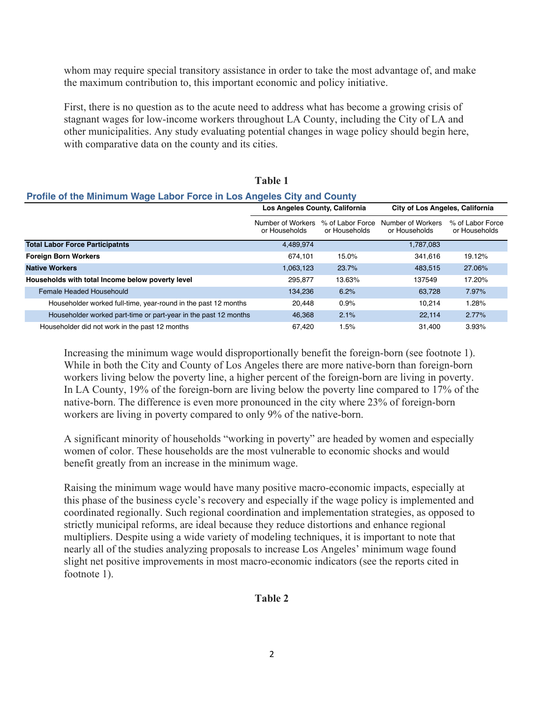whom may require special transitory assistance in order to take the most advantage of, and make the maximum contribution to, this important economic and policy initiative.

First, there is no question as to the acute need to address what has become a growing crisis of stagnant wages for low-income workers throughout LA County, including the City of LA and other municipalities. Any study evaluating potential changes in wage policy should begin here, with comparative data on the county and its cities.

**Table 1**

| Profile of the Minimum Wage Labor Force in Los Angeles City and County |                                    |                                   |                                        |                                   |  |
|------------------------------------------------------------------------|------------------------------------|-----------------------------------|----------------------------------------|-----------------------------------|--|
|                                                                        | Los Angeles County, California     |                                   | <b>City of Los Angeles, California</b> |                                   |  |
|                                                                        | Number of Workers<br>or Households | % of Labor Force<br>or Households | Number of Workers<br>or Households     | % of Labor Force<br>or Households |  |
| <b>Total Labor Force Participatnts</b>                                 | 4,489,974                          |                                   | 1,787,083                              |                                   |  |
| <b>Foreign Born Workers</b>                                            | 674.101                            | 15.0%                             | 341.616                                | 19.12%                            |  |
| <b>Native Workers</b>                                                  | 1,063,123                          | 23.7%                             | 483.515                                | 27.06%                            |  |
| Households with total Income below poverty level                       | 295.877                            | 13.63%                            | 137549                                 | 17.20%                            |  |
| Female Headed Househould                                               | 134.236                            | 6.2%                              | 63.728                                 | 7.97%                             |  |
| Householder worked full-time, year-round in the past 12 months         | 20.448                             | 0.9%                              | 10.214                                 | 1.28%                             |  |
| Householder worked part-time or part-year in the past 12 months        | 46,368                             | 2.1%                              | 22.114                                 | 2.77%                             |  |
| Householder did not work in the past 12 months                         | 67.420                             | 1.5%                              | 31.400                                 | 3.93%                             |  |

#### Increasing the minimum wage would disproportionally benefit the foreign-born (see footnote 1). While in both the City and County of Los Angeles there are more native-born than foreign-born workers living below the poverty line, a higher percent of the foreign-born are living in poverty. In LA County, 19% of the foreign-born are living below the poverty line compared to 17% of the native-born. The difference is even more pronounced in the city where 23% of foreign-born workers are living in poverty compared to only 9% of the native-born.

A significant minority of households "working in poverty" are headed by women and especially women of color. These households are the most vulnerable to economic shocks and would benefit greatly from an increase in the minimum wage.

Raising the minimum wage would have many positive macro-economic impacts, especially at this phase of the business cycle's recovery and especially if the wage policy is implemented and coordinated regionally. Such regional coordination and implementation strategies, as opposed to strictly municipal reforms, are ideal because they reduce distortions and enhance regional multipliers. Despite using a wide variety of modeling techniques, it is important to note that nearly all of the studies analyzing proposals to increase Los Angeles' minimum wage found slight net positive improvements in most macro-economic indicators (see the reports cited in footnote 1).

#### **Table 2**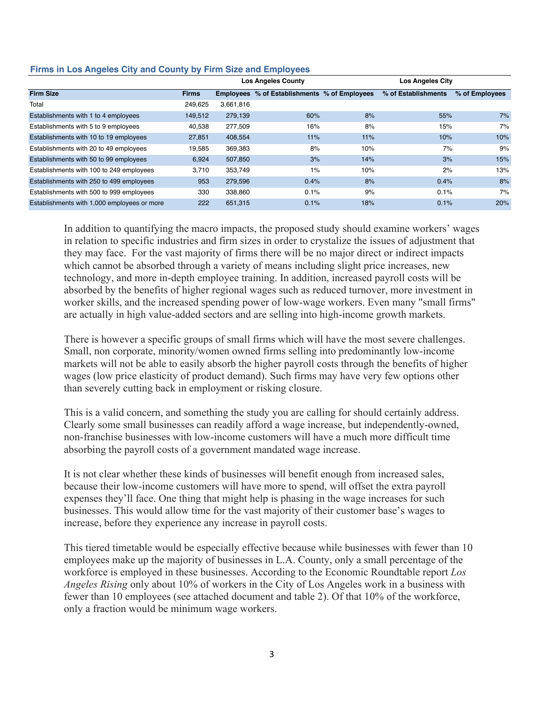|                                             |              |           | <b>Los Angeles County</b>                    |     | <b>Los Angeles City</b> |                |
|---------------------------------------------|--------------|-----------|----------------------------------------------|-----|-------------------------|----------------|
| <b>Firm Size</b>                            | <b>Firms</b> |           | Employees % of Establishments % of Employees |     | % of Establishments     | % of Employees |
| Total                                       | 249,625      | 3,661,816 |                                              |     |                         |                |
| Establishments with 1 to 4 employees        | 149,512      | 279,139   | 60%                                          | 8%  | 55%                     | 7%             |
| Establishments with 5 to 9 employees        | 40,538       | 277,509   | 16%                                          | 8%  | 15%                     | 7%             |
| Establishments with 10 to 19 employees      | 27,851       | 408,554   | 11%                                          | 11% | 10%                     | 10%            |
| Establishments with 20 to 49 employees      | 19,585       | 369,383   | 8%                                           | 10% | 7%                      | 9%             |
| Establishments with 50 to 99 employees      | 6,924        | 507,850   | 3%                                           | 14% | 3%                      | 15%            |
| Establishments with 100 to 249 employees    | 3,710        | 353,749   | 1%                                           | 10% | 2%                      | 13%            |
| Establishments with 250 to 499 employees    | 953          | 279,596   | 0.4%                                         | 8%  | 0.4%                    | 8%             |
| Establishments with 500 to 999 employees    | 330          | 338,860   | 0.1%                                         | 9%  | 0.1%                    | 7%             |
| Establishments with 1,000 employees or more | 222          | 651,315   | 0.1%                                         | 18% | 0.1%                    | 20%            |

## **Firms in Los Angeles City and County by Firm Size and Employees**

In addition to quantifying the macro impacts, the proposed study should examine workers' wages in relation to specific industries and firm sizes in order to crystalize the issues of adjustment that they may face. For the vast majority of firms there will be no major direct or indirect impacts which cannot be absorbed through a variety of means including slight price increases, new technology, and more in-depth employee training. In addition, increased payroll costs will be absorbed by the benefits of higher regional wages such as reduced turnover, more investment in worker skills, and the increased spending power of low-wage workers. Even many "small firms" are actually in high value-added sectors and are selling into high-income growth markets.

There is however a specific groups of small firms which will have the most severe challenges. Small, non corporate, minority/women owned firms selling into predominantly low-income markets will not be able to easily absorb the higher payroll costs through the benefits of higher wages (low price elasticity of product demand). Such firms may have very few options other than severely cutting back in employment or risking closure.

This is a valid concern, and something the study you are calling for should certainly address. Clearly some small businesses can readily afford a wage increase, but independently-owned, non-franchise businesses with low-income customers will have a much more difficult time absorbing the payroll costs of a government mandated wage increase.

It is not clear whether these kinds of businesses will benefit enough from increased sales, because their low-income customers will have more to spend, will offset the extra payroll expenses they'll face. One thing that might help is phasing in the wage increases for such businesses. This would allow time for the vast majority of their customer base's wages to increase, before they experience any increase in payroll costs.

This tiered timetable would be especially effective because while businesses with fewer than 10 employees make up the majority of businesses in L.A. County, only a small percentage of the workforce is employed in these businesses. According to the Economic Roundtable report *Los Angeles Rising* only about 10% of workers in the City of Los Angeles work in a business with fewer than 10 employees (see attached document and table 2). Of that 10% of the workforce, only a fraction would be minimum wage workers.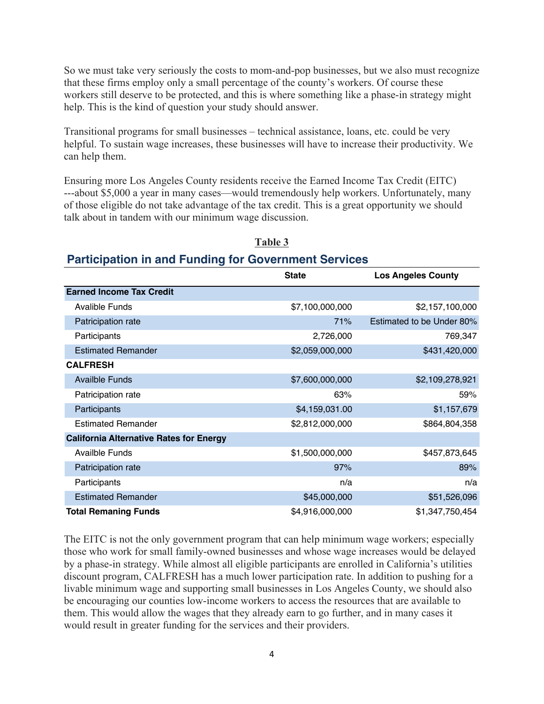So we must take very seriously the costs to mom-and-pop businesses, but we also must recognize that these firms employ only a small percentage of the county's workers. Of course these workers still deserve to be protected, and this is where something like a phase-in strategy might help. This is the kind of question your study should answer.

Transitional programs for small businesses – technical assistance, loans, etc. could be very helpful. To sustain wage increases, these businesses will have to increase their productivity. We can help them.

Ensuring more Los Angeles County residents receive the Earned Income Tax Credit (EITC) ---about \$5,000 a year in many cases—would tremendously help workers. Unfortunately, many of those eligible do not take advantage of the tax credit. This is a great opportunity we should talk about in tandem with our minimum wage discussion.

| Participation in and Funding for Government Services |                 |                           |  |  |
|------------------------------------------------------|-----------------|---------------------------|--|--|
|                                                      | <b>State</b>    | <b>Los Angeles County</b> |  |  |
| <b>Earned Income Tax Credit</b>                      |                 |                           |  |  |
| <b>Avalible Funds</b>                                | \$7,100,000,000 | \$2,157,100,000           |  |  |
| Patricipation rate                                   | 71%             | Estimated to be Under 80% |  |  |
| Participants                                         | 2,726,000       | 769,347                   |  |  |
| <b>Estimated Remander</b>                            | \$2,059,000,000 | \$431,420,000             |  |  |
| <b>CALFRESH</b>                                      |                 |                           |  |  |
| <b>Availble Funds</b>                                | \$7,600,000,000 | \$2,109,278,921           |  |  |
| Patricipation rate                                   | 63%             | 59%                       |  |  |
| Participants                                         | \$4,159,031.00  | \$1,157,679               |  |  |
| <b>Estimated Remander</b>                            | \$2,812,000,000 | \$864,804,358             |  |  |
| <b>California Alternative Rates for Energy</b>       |                 |                           |  |  |
| <b>Availble Funds</b>                                | \$1,500,000,000 | \$457,873,645             |  |  |
| Patricipation rate                                   | 97%             | 89%                       |  |  |
| Participants                                         | n/a             | n/a                       |  |  |
| <b>Estimated Remander</b>                            | \$45,000,000    | \$51,526,096              |  |  |
| <b>Total Remaning Funds</b>                          | \$4,916,000,000 | \$1,347,750,454           |  |  |

#### **Table 3**

# **Participation in and Funding for Government Services**

The EITC is not the only government program that can help minimum wage workers; especially those who work for small family-owned businesses and whose wage increases would be delayed by a phase-in strategy. While almost all eligible participants are enrolled in California's utilities discount program, CALFRESH has a much lower participation rate. In addition to pushing for a livable minimum wage and supporting small businesses in Los Angeles County, we should also be encouraging our counties low-income workers to access the resources that are available to them. This would allow the wages that they already earn to go further, and in many cases it would result in greater funding for the services and their providers.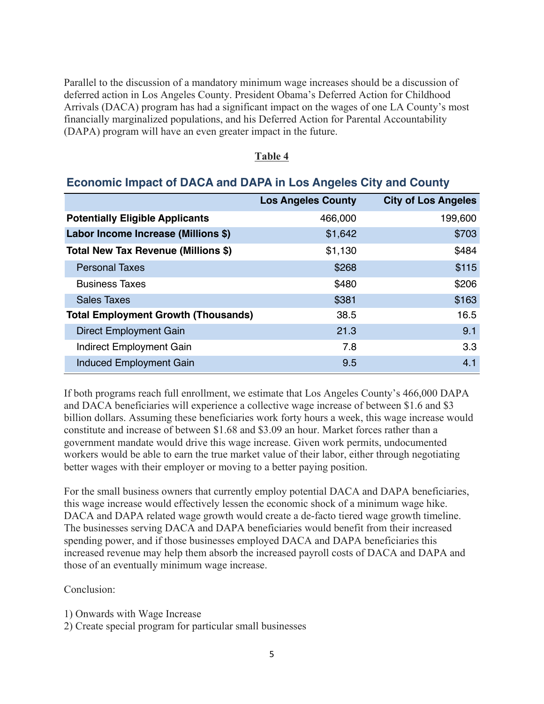Parallel to the discussion of a mandatory minimum wage increases should be a discussion of deferred action in Los Angeles County. President Obama's Deferred Action for Childhood Arrivals (DACA) program has had a significant impact on the wages of one LA County's most financially marginalized populations, and his Deferred Action for Parental Accountability (DAPA) program will have an even greater impact in the future.

#### **Table 4**

# **Economic Impact of DACA and DAPA in Los Angeles City and County**

|                                            | <b>Los Angeles County</b> | <b>City of Los Angeles</b> |
|--------------------------------------------|---------------------------|----------------------------|
| <b>Potentially Eligible Applicants</b>     | 466,000                   | 199,600                    |
| Labor Income Increase (Millions \$)        | \$1,642                   | \$703                      |
| Total New Tax Revenue (Millions \$)        | \$1,130                   | \$484                      |
| <b>Personal Taxes</b>                      | \$268                     | \$115                      |
| <b>Business Taxes</b>                      | \$480                     | \$206                      |
| <b>Sales Taxes</b>                         | \$381                     | \$163                      |
| <b>Total Employment Growth (Thousands)</b> | 38.5                      | 16.5                       |
| <b>Direct Employment Gain</b>              | 21.3                      | 9.1                        |
| <b>Indirect Employment Gain</b>            | 7.8                       | 3.3                        |
| <b>Induced Employment Gain</b>             | 9.5                       | 4.1                        |

If both programs reach full enrollment, we estimate that Los Angeles County's 466,000 DAPA and DACA beneficiaries will experience a collective wage increase of between \$1.6 and \$3 billion dollars. Assuming these beneficiaries work forty hours a week, this wage increase would constitute and increase of between \$1.68 and \$3.09 an hour. Market forces rather than a government mandate would drive this wage increase. Given work permits, undocumented workers would be able to earn the true market value of their labor, either through negotiating better wages with their employer or moving to a better paying position.

For the small business owners that currently employ potential DACA and DAPA beneficiaries, this wage increase would effectively lessen the economic shock of a minimum wage hike. DACA and DAPA related wage growth would create a de-facto tiered wage growth timeline. The businesses serving DACA and DAPA beneficiaries would benefit from their increased spending power, and if those businesses employed DACA and DAPA beneficiaries this increased revenue may help them absorb the increased payroll costs of DACA and DAPA and those of an eventually minimum wage increase.

Conclusion:

- 1) Onwards with Wage Increase
- 2) Create special program for particular small businesses